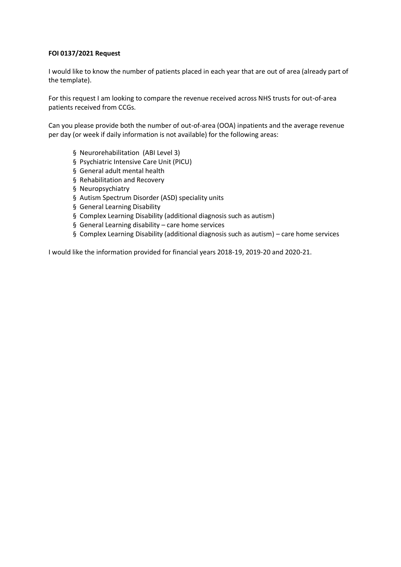## **FOI 0137/2021 Request**

I would like to know the number of patients placed in each year that are out of area (already part of the template).

For this request I am looking to compare the revenue received across NHS trusts for out-of-area patients received from CCGs.

Can you please provide both the number of out-of-area (OOA) inpatients and the average revenue per day (or week if daily information is not available) for the following areas:

- § Neurorehabilitation (ABI Level 3)
- § Psychiatric Intensive Care Unit (PICU)
- § General adult mental health
- § Rehabilitation and Recovery
- § Neuropsychiatry
- § Autism Spectrum Disorder (ASD) speciality units
- § General Learning Disability
- § Complex Learning Disability (additional diagnosis such as autism)
- § General Learning disability care home services
- § Complex Learning Disability (additional diagnosis such as autism) care home services

I would like the information provided for financial years 2018-19, 2019-20 and 2020-21.